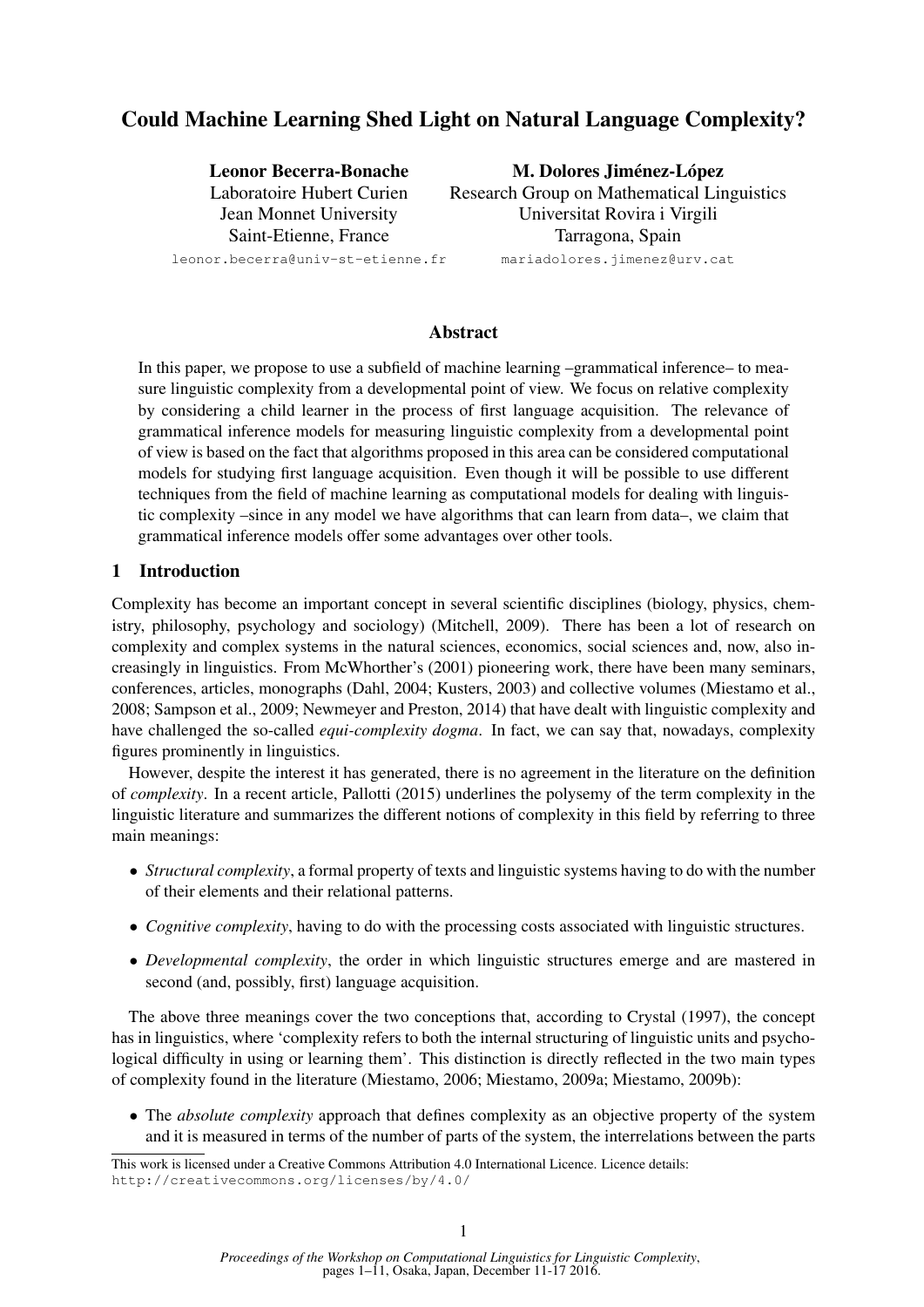# Could Machine Learning Shed Light on Natural Language Complexity?

Leonor Becerra-Bonache Laboratoire Hubert Curien Jean Monnet University Saint-Etienne, France

M. Dolores Jiménez-López

Research Group on Mathematical Linguistics Universitat Rovira i Virgili Tarragona, Spain

mariadolores.jimenez@urv.cat

leonor.becerra@univ-st-etienne.fr

Abstract

In this paper, we propose to use a subfield of machine learning –grammatical inference– to measure linguistic complexity from a developmental point of view. We focus on relative complexity by considering a child learner in the process of first language acquisition. The relevance of grammatical inference models for measuring linguistic complexity from a developmental point of view is based on the fact that algorithms proposed in this area can be considered computational models for studying first language acquisition. Even though it will be possible to use different techniques from the field of machine learning as computational models for dealing with linguistic complexity –since in any model we have algorithms that can learn from data–, we claim that grammatical inference models offer some advantages over other tools.

# 1 Introduction

Complexity has become an important concept in several scientific disciplines (biology, physics, chemistry, philosophy, psychology and sociology) (Mitchell, 2009). There has been a lot of research on complexity and complex systems in the natural sciences, economics, social sciences and, now, also increasingly in linguistics. From McWhorther's (2001) pioneering work, there have been many seminars, conferences, articles, monographs (Dahl, 2004; Kusters, 2003) and collective volumes (Miestamo et al., 2008; Sampson et al., 2009; Newmeyer and Preston, 2014) that have dealt with linguistic complexity and have challenged the so-called *equi-complexity dogma*. In fact, we can say that, nowadays, complexity figures prominently in linguistics.

However, despite the interest it has generated, there is no agreement in the literature on the definition of *complexity*. In a recent article, Pallotti (2015) underlines the polysemy of the term complexity in the linguistic literature and summarizes the different notions of complexity in this field by referring to three main meanings:

- *Structural complexity*, a formal property of texts and linguistic systems having to do with the number of their elements and their relational patterns.
- *Cognitive complexity*, having to do with the processing costs associated with linguistic structures.
- *Developmental complexity*, the order in which linguistic structures emerge and are mastered in second (and, possibly, first) language acquisition.

The above three meanings cover the two conceptions that, according to Crystal (1997), the concept has in linguistics, where 'complexity refers to both the internal structuring of linguistic units and psychological difficulty in using or learning them'. This distinction is directly reflected in the two main types of complexity found in the literature (Miestamo, 2006; Miestamo, 2009a; Miestamo, 2009b):

• The *absolute complexity* approach that defines complexity as an objective property of the system and it is measured in terms of the number of parts of the system, the interrelations between the parts

This work is licensed under a Creative Commons Attribution 4.0 International Licence. Licence details: http://creativecommons.org/licenses/by/4.0/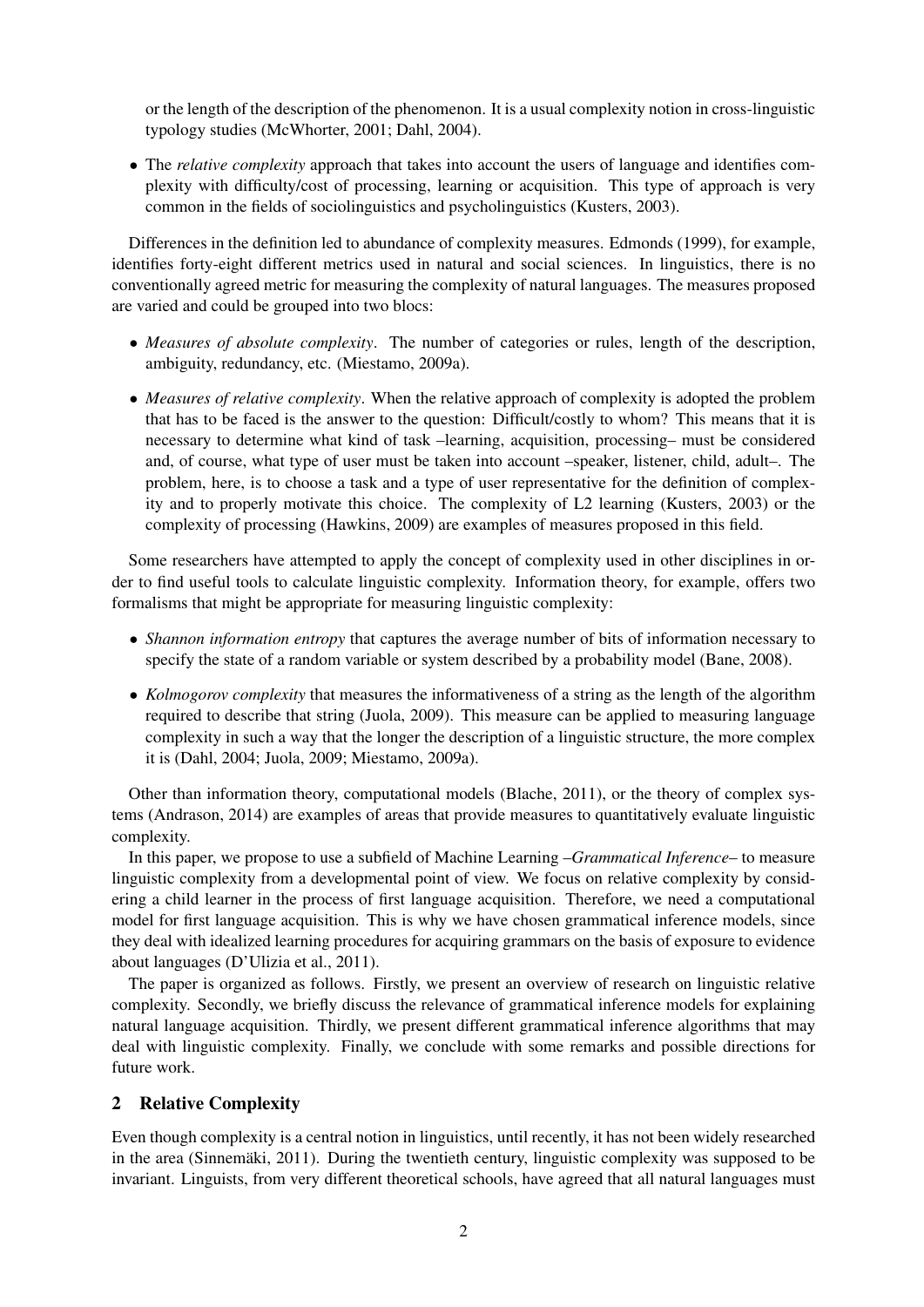or the length of the description of the phenomenon. It is a usual complexity notion in cross-linguistic typology studies (McWhorter, 2001; Dahl, 2004).

• The *relative complexity* approach that takes into account the users of language and identifies complexity with difficulty/cost of processing, learning or acquisition. This type of approach is very common in the fields of sociolinguistics and psycholinguistics (Kusters, 2003).

Differences in the definition led to abundance of complexity measures. Edmonds (1999), for example, identifies forty-eight different metrics used in natural and social sciences. In linguistics, there is no conventionally agreed metric for measuring the complexity of natural languages. The measures proposed are varied and could be grouped into two blocs:

- *Measures of absolute complexity*. The number of categories or rules, length of the description, ambiguity, redundancy, etc. (Miestamo, 2009a).
- *Measures of relative complexity*. When the relative approach of complexity is adopted the problem that has to be faced is the answer to the question: Difficult/costly to whom? This means that it is necessary to determine what kind of task –learning, acquisition, processing– must be considered and, of course, what type of user must be taken into account –speaker, listener, child, adult–. The problem, here, is to choose a task and a type of user representative for the definition of complexity and to properly motivate this choice. The complexity of L2 learning (Kusters, 2003) or the complexity of processing (Hawkins, 2009) are examples of measures proposed in this field.

Some researchers have attempted to apply the concept of complexity used in other disciplines in order to find useful tools to calculate linguistic complexity. Information theory, for example, offers two formalisms that might be appropriate for measuring linguistic complexity:

- *Shannon information entropy* that captures the average number of bits of information necessary to specify the state of a random variable or system described by a probability model (Bane, 2008).
- *Kolmogorov complexity* that measures the informativeness of a string as the length of the algorithm required to describe that string (Juola, 2009). This measure can be applied to measuring language complexity in such a way that the longer the description of a linguistic structure, the more complex it is (Dahl, 2004; Juola, 2009; Miestamo, 2009a).

Other than information theory, computational models (Blache, 2011), or the theory of complex systems (Andrason, 2014) are examples of areas that provide measures to quantitatively evaluate linguistic complexity.

In this paper, we propose to use a subfield of Machine Learning –*Grammatical Inference*– to measure linguistic complexity from a developmental point of view. We focus on relative complexity by considering a child learner in the process of first language acquisition. Therefore, we need a computational model for first language acquisition. This is why we have chosen grammatical inference models, since they deal with idealized learning procedures for acquiring grammars on the basis of exposure to evidence about languages (D'Ulizia et al., 2011).

The paper is organized as follows. Firstly, we present an overview of research on linguistic relative complexity. Secondly, we briefly discuss the relevance of grammatical inference models for explaining natural language acquisition. Thirdly, we present different grammatical inference algorithms that may deal with linguistic complexity. Finally, we conclude with some remarks and possible directions for future work.

# 2 Relative Complexity

Even though complexity is a central notion in linguistics, until recently, it has not been widely researched in the area (Sinnemäki, 2011). During the twentieth century, linguistic complexity was supposed to be invariant. Linguists, from very different theoretical schools, have agreed that all natural languages must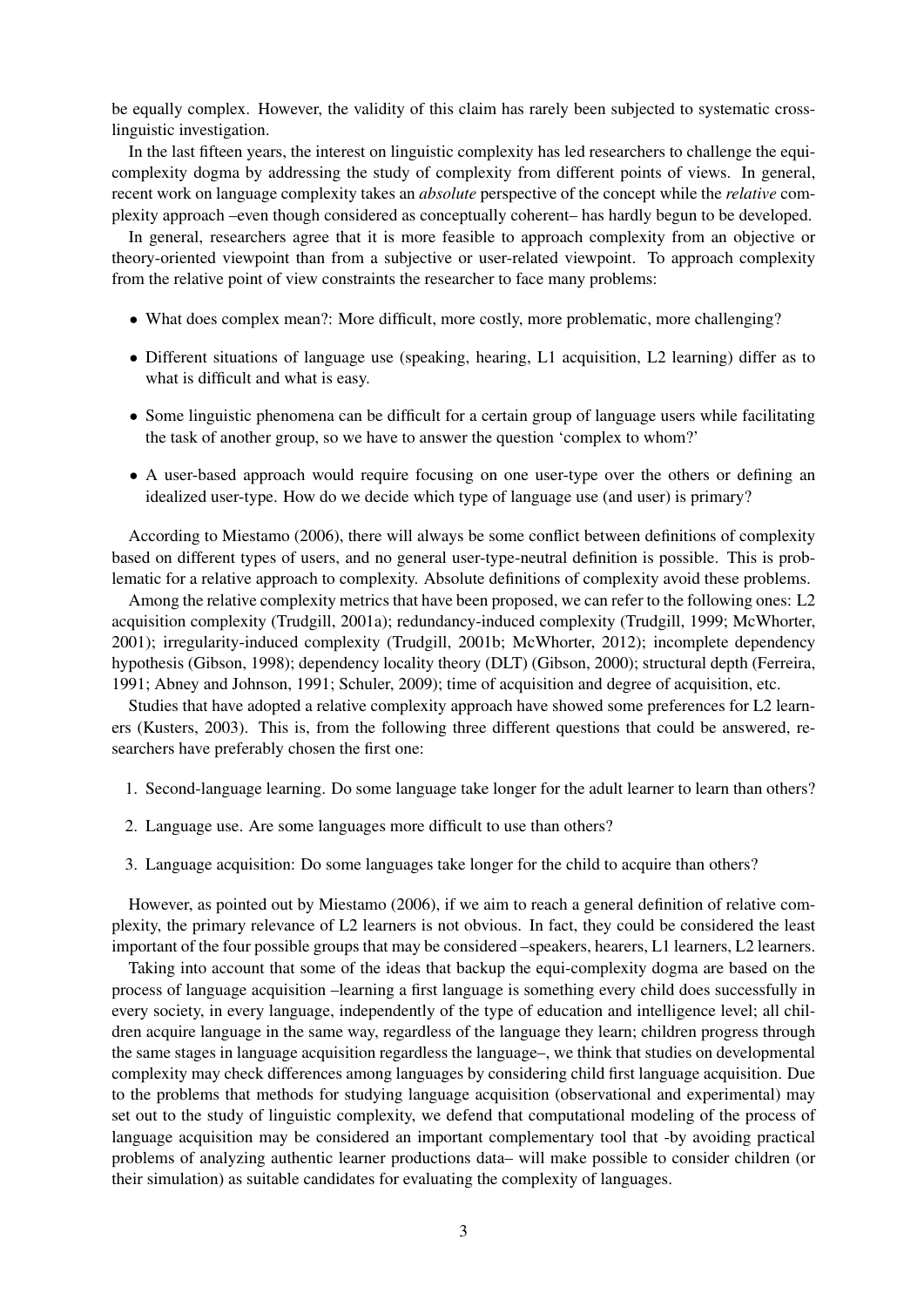be equally complex. However, the validity of this claim has rarely been subjected to systematic crosslinguistic investigation.

In the last fifteen years, the interest on linguistic complexity has led researchers to challenge the equicomplexity dogma by addressing the study of complexity from different points of views. In general, recent work on language complexity takes an *absolute* perspective of the concept while the *relative* complexity approach –even though considered as conceptually coherent– has hardly begun to be developed.

In general, researchers agree that it is more feasible to approach complexity from an objective or theory-oriented viewpoint than from a subjective or user-related viewpoint. To approach complexity from the relative point of view constraints the researcher to face many problems:

- What does complex mean?: More difficult, more costly, more problematic, more challenging?
- Different situations of language use (speaking, hearing, L1 acquisition, L2 learning) differ as to what is difficult and what is easy.
- Some linguistic phenomena can be difficult for a certain group of language users while facilitating the task of another group, so we have to answer the question 'complex to whom?'
- A user-based approach would require focusing on one user-type over the others or defining an idealized user-type. How do we decide which type of language use (and user) is primary?

According to Miestamo (2006), there will always be some conflict between definitions of complexity based on different types of users, and no general user-type-neutral definition is possible. This is problematic for a relative approach to complexity. Absolute definitions of complexity avoid these problems.

Among the relative complexity metrics that have been proposed, we can refer to the following ones: L2 acquisition complexity (Trudgill, 2001a); redundancy-induced complexity (Trudgill, 1999; McWhorter, 2001); irregularity-induced complexity (Trudgill, 2001b; McWhorter, 2012); incomplete dependency hypothesis (Gibson, 1998); dependency locality theory (DLT) (Gibson, 2000); structural depth (Ferreira, 1991; Abney and Johnson, 1991; Schuler, 2009); time of acquisition and degree of acquisition, etc.

Studies that have adopted a relative complexity approach have showed some preferences for L2 learners (Kusters, 2003). This is, from the following three different questions that could be answered, researchers have preferably chosen the first one:

- 1. Second-language learning. Do some language take longer for the adult learner to learn than others?
- 2. Language use. Are some languages more difficult to use than others?
- 3. Language acquisition: Do some languages take longer for the child to acquire than others?

However, as pointed out by Miestamo (2006), if we aim to reach a general definition of relative complexity, the primary relevance of L2 learners is not obvious. In fact, they could be considered the least important of the four possible groups that may be considered –speakers, hearers, L1 learners, L2 learners.

Taking into account that some of the ideas that backup the equi-complexity dogma are based on the process of language acquisition –learning a first language is something every child does successfully in every society, in every language, independently of the type of education and intelligence level; all children acquire language in the same way, regardless of the language they learn; children progress through the same stages in language acquisition regardless the language–, we think that studies on developmental complexity may check differences among languages by considering child first language acquisition. Due to the problems that methods for studying language acquisition (observational and experimental) may set out to the study of linguistic complexity, we defend that computational modeling of the process of language acquisition may be considered an important complementary tool that -by avoiding practical problems of analyzing authentic learner productions data– will make possible to consider children (or their simulation) as suitable candidates for evaluating the complexity of languages.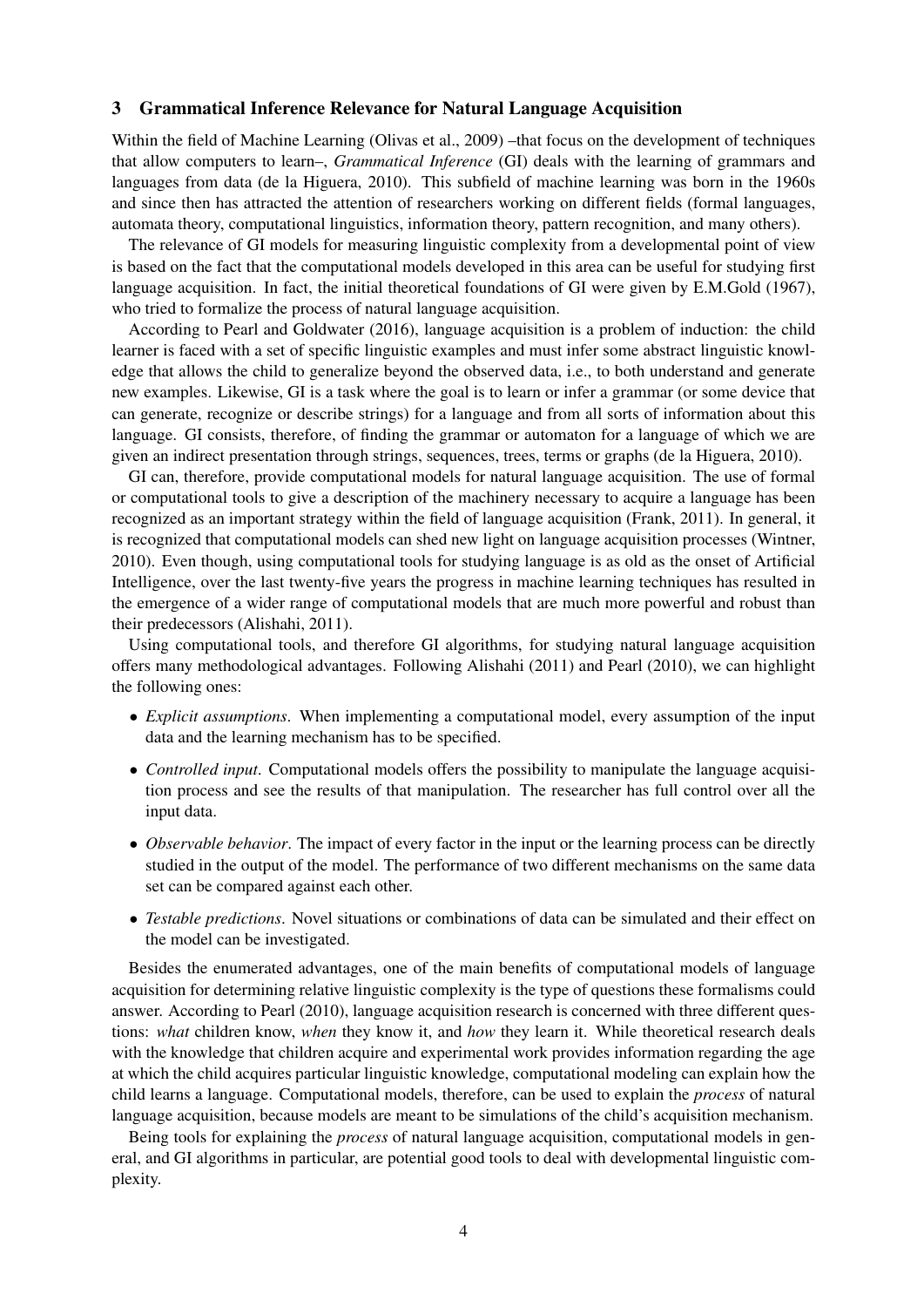#### 3 Grammatical Inference Relevance for Natural Language Acquisition

Within the field of Machine Learning (Olivas et al., 2009) –that focus on the development of techniques that allow computers to learn–, *Grammatical Inference* (GI) deals with the learning of grammars and languages from data (de la Higuera, 2010). This subfield of machine learning was born in the 1960s and since then has attracted the attention of researchers working on different fields (formal languages, automata theory, computational linguistics, information theory, pattern recognition, and many others).

The relevance of GI models for measuring linguistic complexity from a developmental point of view is based on the fact that the computational models developed in this area can be useful for studying first language acquisition. In fact, the initial theoretical foundations of GI were given by E.M.Gold (1967), who tried to formalize the process of natural language acquisition.

According to Pearl and Goldwater (2016), language acquisition is a problem of induction: the child learner is faced with a set of specific linguistic examples and must infer some abstract linguistic knowledge that allows the child to generalize beyond the observed data, i.e., to both understand and generate new examples. Likewise, GI is a task where the goal is to learn or infer a grammar (or some device that can generate, recognize or describe strings) for a language and from all sorts of information about this language. GI consists, therefore, of finding the grammar or automaton for a language of which we are given an indirect presentation through strings, sequences, trees, terms or graphs (de la Higuera, 2010).

GI can, therefore, provide computational models for natural language acquisition. The use of formal or computational tools to give a description of the machinery necessary to acquire a language has been recognized as an important strategy within the field of language acquisition (Frank, 2011). In general, it is recognized that computational models can shed new light on language acquisition processes (Wintner, 2010). Even though, using computational tools for studying language is as old as the onset of Artificial Intelligence, over the last twenty-five years the progress in machine learning techniques has resulted in the emergence of a wider range of computational models that are much more powerful and robust than their predecessors (Alishahi, 2011).

Using computational tools, and therefore GI algorithms, for studying natural language acquisition offers many methodological advantages. Following Alishahi (2011) and Pearl (2010), we can highlight the following ones:

- *Explicit assumptions*. When implementing a computational model, every assumption of the input data and the learning mechanism has to be specified.
- *Controlled input*. Computational models offers the possibility to manipulate the language acquisition process and see the results of that manipulation. The researcher has full control over all the input data.
- *Observable behavior*. The impact of every factor in the input or the learning process can be directly studied in the output of the model. The performance of two different mechanisms on the same data set can be compared against each other.
- *Testable predictions*. Novel situations or combinations of data can be simulated and their effect on the model can be investigated.

Besides the enumerated advantages, one of the main benefits of computational models of language acquisition for determining relative linguistic complexity is the type of questions these formalisms could answer. According to Pearl (2010), language acquisition research is concerned with three different questions: *what* children know, *when* they know it, and *how* they learn it. While theoretical research deals with the knowledge that children acquire and experimental work provides information regarding the age at which the child acquires particular linguistic knowledge, computational modeling can explain how the child learns a language. Computational models, therefore, can be used to explain the *process* of natural language acquisition, because models are meant to be simulations of the child's acquisition mechanism.

Being tools for explaining the *process* of natural language acquisition, computational models in general, and GI algorithms in particular, are potential good tools to deal with developmental linguistic complexity.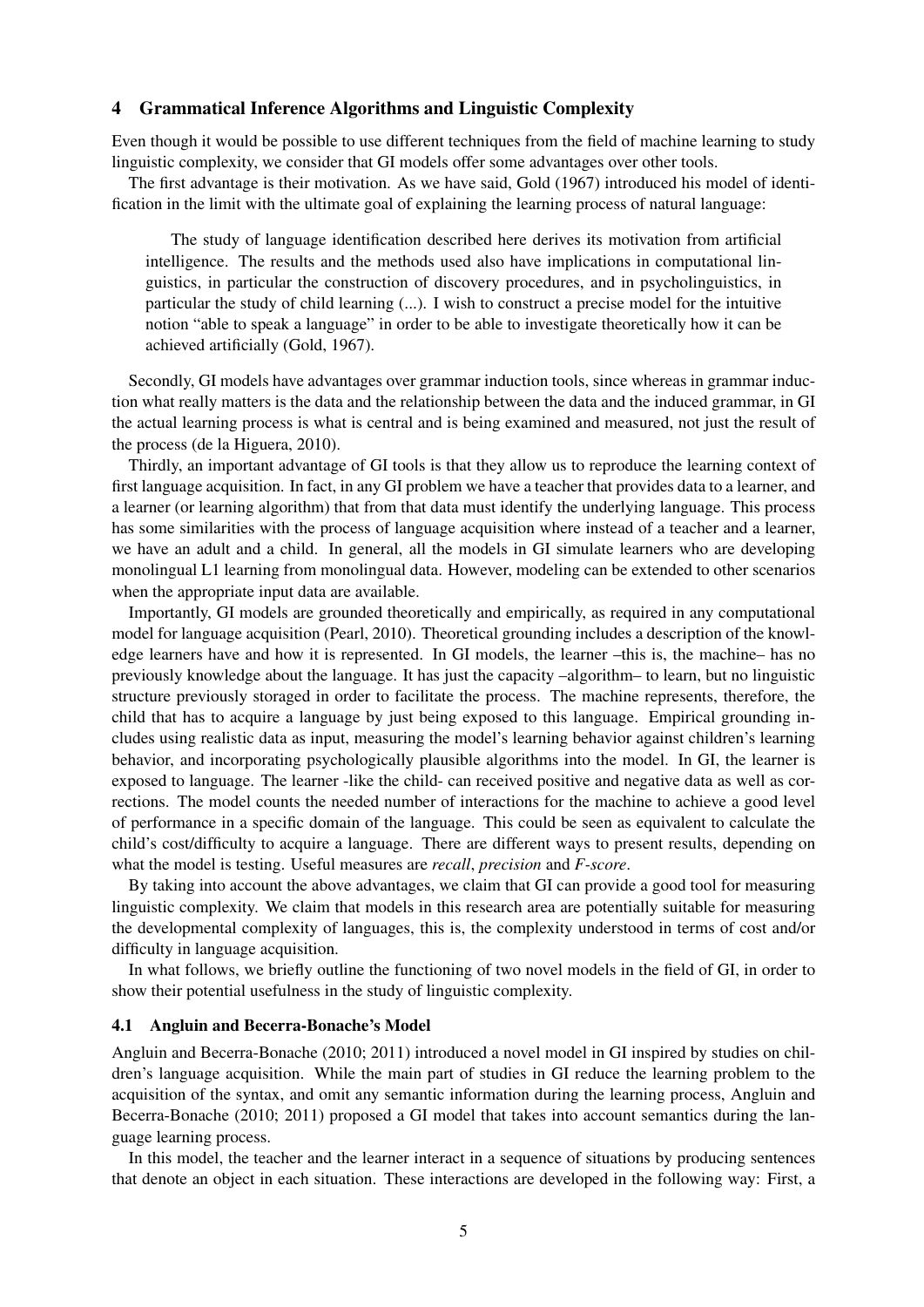#### 4 Grammatical Inference Algorithms and Linguistic Complexity

Even though it would be possible to use different techniques from the field of machine learning to study linguistic complexity, we consider that GI models offer some advantages over other tools.

The first advantage is their motivation. As we have said, Gold (1967) introduced his model of identification in the limit with the ultimate goal of explaining the learning process of natural language:

The study of language identification described here derives its motivation from artificial intelligence. The results and the methods used also have implications in computational linguistics, in particular the construction of discovery procedures, and in psycholinguistics, in particular the study of child learning (...). I wish to construct a precise model for the intuitive notion "able to speak a language" in order to be able to investigate theoretically how it can be achieved artificially (Gold, 1967).

Secondly, GI models have advantages over grammar induction tools, since whereas in grammar induction what really matters is the data and the relationship between the data and the induced grammar, in GI the actual learning process is what is central and is being examined and measured, not just the result of the process (de la Higuera, 2010).

Thirdly, an important advantage of GI tools is that they allow us to reproduce the learning context of first language acquisition. In fact, in any GI problem we have a teacher that provides data to a learner, and a learner (or learning algorithm) that from that data must identify the underlying language. This process has some similarities with the process of language acquisition where instead of a teacher and a learner, we have an adult and a child. In general, all the models in GI simulate learners who are developing monolingual L1 learning from monolingual data. However, modeling can be extended to other scenarios when the appropriate input data are available.

Importantly, GI models are grounded theoretically and empirically, as required in any computational model for language acquisition (Pearl, 2010). Theoretical grounding includes a description of the knowledge learners have and how it is represented. In GI models, the learner –this is, the machine– has no previously knowledge about the language. It has just the capacity –algorithm– to learn, but no linguistic structure previously storaged in order to facilitate the process. The machine represents, therefore, the child that has to acquire a language by just being exposed to this language. Empirical grounding includes using realistic data as input, measuring the model's learning behavior against children's learning behavior, and incorporating psychologically plausible algorithms into the model. In GI, the learner is exposed to language. The learner -like the child- can received positive and negative data as well as corrections. The model counts the needed number of interactions for the machine to achieve a good level of performance in a specific domain of the language. This could be seen as equivalent to calculate the child's cost/difficulty to acquire a language. There are different ways to present results, depending on what the model is testing. Useful measures are *recall*, *precision* and *F-score*.

By taking into account the above advantages, we claim that GI can provide a good tool for measuring linguistic complexity. We claim that models in this research area are potentially suitable for measuring the developmental complexity of languages, this is, the complexity understood in terms of cost and/or difficulty in language acquisition.

In what follows, we briefly outline the functioning of two novel models in the field of GI, in order to show their potential usefulness in the study of linguistic complexity.

#### 4.1 Angluin and Becerra-Bonache's Model

Angluin and Becerra-Bonache (2010; 2011) introduced a novel model in GI inspired by studies on children's language acquisition. While the main part of studies in GI reduce the learning problem to the acquisition of the syntax, and omit any semantic information during the learning process, Angluin and Becerra-Bonache (2010; 2011) proposed a GI model that takes into account semantics during the language learning process.

In this model, the teacher and the learner interact in a sequence of situations by producing sentences that denote an object in each situation. These interactions are developed in the following way: First, a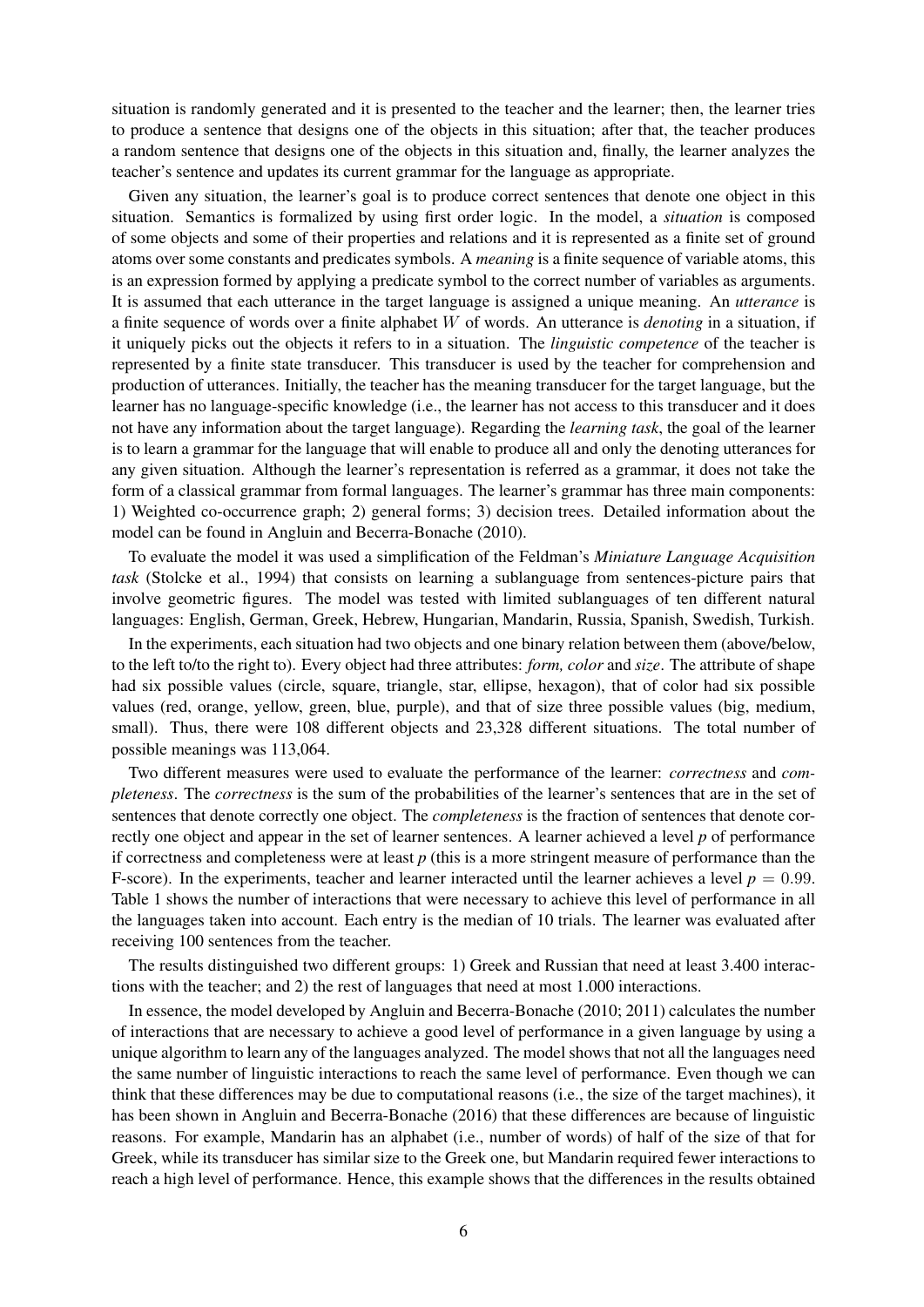situation is randomly generated and it is presented to the teacher and the learner; then, the learner tries to produce a sentence that designs one of the objects in this situation; after that, the teacher produces a random sentence that designs one of the objects in this situation and, finally, the learner analyzes the teacher's sentence and updates its current grammar for the language as appropriate.

Given any situation, the learner's goal is to produce correct sentences that denote one object in this situation. Semantics is formalized by using first order logic. In the model, a *situation* is composed of some objects and some of their properties and relations and it is represented as a finite set of ground atoms over some constants and predicates symbols. A *meaning* is a finite sequence of variable atoms, this is an expression formed by applying a predicate symbol to the correct number of variables as arguments. It is assumed that each utterance in the target language is assigned a unique meaning. An *utterance* is a finite sequence of words over a finite alphabet W of words. An utterance is *denoting* in a situation, if it uniquely picks out the objects it refers to in a situation. The *linguistic competence* of the teacher is represented by a finite state transducer. This transducer is used by the teacher for comprehension and production of utterances. Initially, the teacher has the meaning transducer for the target language, but the learner has no language-specific knowledge (i.e., the learner has not access to this transducer and it does not have any information about the target language). Regarding the *learning task*, the goal of the learner is to learn a grammar for the language that will enable to produce all and only the denoting utterances for any given situation. Although the learner's representation is referred as a grammar, it does not take the form of a classical grammar from formal languages. The learner's grammar has three main components: 1) Weighted co-occurrence graph; 2) general forms; 3) decision trees. Detailed information about the model can be found in Angluin and Becerra-Bonache (2010).

To evaluate the model it was used a simplification of the Feldman's *Miniature Language Acquisition task* (Stolcke et al., 1994) that consists on learning a sublanguage from sentences-picture pairs that involve geometric figures. The model was tested with limited sublanguages of ten different natural languages: English, German, Greek, Hebrew, Hungarian, Mandarin, Russia, Spanish, Swedish, Turkish.

In the experiments, each situation had two objects and one binary relation between them (above/below, to the left to/to the right to). Every object had three attributes: *form, color* and *size*. The attribute of shape had six possible values (circle, square, triangle, star, ellipse, hexagon), that of color had six possible values (red, orange, yellow, green, blue, purple), and that of size three possible values (big, medium, small). Thus, there were 108 different objects and 23,328 different situations. The total number of possible meanings was 113,064.

Two different measures were used to evaluate the performance of the learner: *correctness* and *completeness*. The *correctness* is the sum of the probabilities of the learner's sentences that are in the set of sentences that denote correctly one object. The *completeness* is the fraction of sentences that denote correctly one object and appear in the set of learner sentences. A learner achieved a level *p* of performance if correctness and completeness were at least *p* (this is a more stringent measure of performance than the F-score). In the experiments, teacher and learner interacted until the learner achieves a level  $p = 0.99$ . Table 1 shows the number of interactions that were necessary to achieve this level of performance in all the languages taken into account. Each entry is the median of 10 trials. The learner was evaluated after receiving 100 sentences from the teacher.

The results distinguished two different groups: 1) Greek and Russian that need at least 3.400 interactions with the teacher; and 2) the rest of languages that need at most 1.000 interactions.

In essence, the model developed by Angluin and Becerra-Bonache (2010; 2011) calculates the number of interactions that are necessary to achieve a good level of performance in a given language by using a unique algorithm to learn any of the languages analyzed. The model shows that not all the languages need the same number of linguistic interactions to reach the same level of performance. Even though we can think that these differences may be due to computational reasons (i.e., the size of the target machines), it has been shown in Angluin and Becerra-Bonache (2016) that these differences are because of linguistic reasons. For example, Mandarin has an alphabet (i.e., number of words) of half of the size of that for Greek, while its transducer has similar size to the Greek one, but Mandarin required fewer interactions to reach a high level of performance. Hence, this example shows that the differences in the results obtained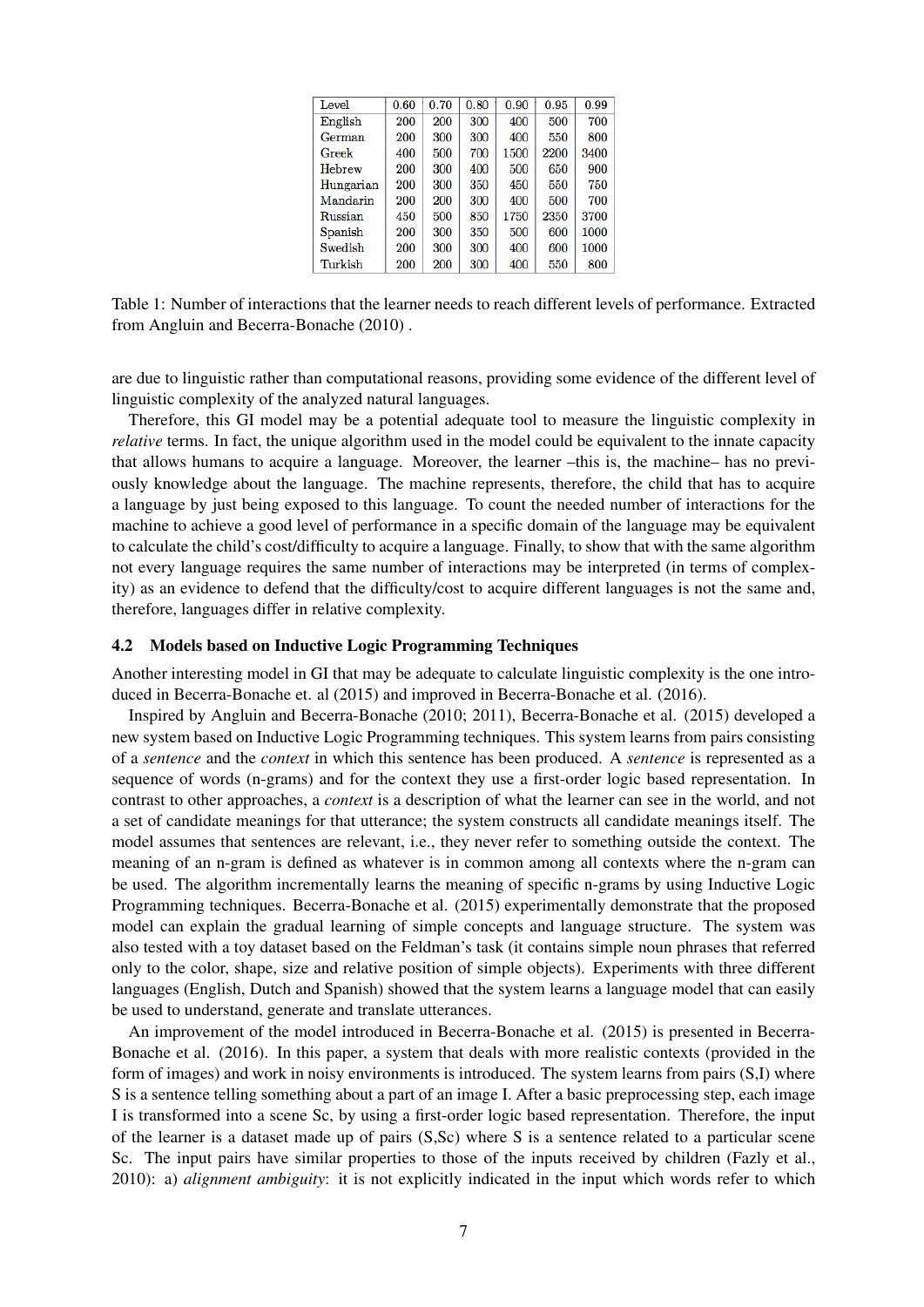| Level     | 0.60 | 0.70 | 0.80 | 0.90 | 0.95 | 0.99 |
|-----------|------|------|------|------|------|------|
| English   | 200  | 200  | 300  | 400  | 500  | 700  |
| German    | 200  | 300  | 300  | 400  | 550  | 800  |
| Greek     | 400  | 500  | 700  | 1500 | 2200 | 3400 |
| Hebrew    | 200  | 300  | 400  | 500  | 650  | 900  |
| Hungarian | 200  | 300  | 350  | 450  | 550  | 750  |
| Mandarin  | 200  | 200  | 300  | 400  | 500  | 700  |
| Russian   | 450  | 500  | 850  | 1750 | 2350 | 3700 |
| Spanish   | 200  | 300  | 350  | 500  | 600  | 1000 |
| Swedish   | 200  | 300  | 300  | 400  | 600  | 1000 |
| Turkish   | 200  | 200  | 300  | 400  | 550  | 800  |

Table 1: Number of interactions that the learner needs to reach different levels of performance. Extracted from Angluin and Becerra-Bonache (2010) .

are due to linguistic rather than computational reasons, providing some evidence of the different level of linguistic complexity of the analyzed natural languages.

Therefore, this GI model may be a potential adequate tool to measure the linguistic complexity in *relative* terms. In fact, the unique algorithm used in the model could be equivalent to the innate capacity that allows humans to acquire a language. Moreover, the learner –this is, the machine– has no previously knowledge about the language. The machine represents, therefore, the child that has to acquire a language by just being exposed to this language. To count the needed number of interactions for the machine to achieve a good level of performance in a specific domain of the language may be equivalent to calculate the child's cost/difficulty to acquire a language. Finally, to show that with the same algorithm not every language requires the same number of interactions may be interpreted (in terms of complexity) as an evidence to defend that the difficulty/cost to acquire different languages is not the same and, therefore, languages differ in relative complexity.

#### 4.2 Models based on Inductive Logic Programming Techniques

Another interesting model in GI that may be adequate to calculate linguistic complexity is the one introduced in Becerra-Bonache et. al (2015) and improved in Becerra-Bonache et al. (2016).

Inspired by Angluin and Becerra-Bonache (2010; 2011), Becerra-Bonache et al. (2015) developed a new system based on Inductive Logic Programming techniques. This system learns from pairs consisting of a *sentence* and the *context* in which this sentence has been produced. A *sentence* is represented as a sequence of words (n-grams) and for the context they use a first-order logic based representation. In contrast to other approaches, a *context* is a description of what the learner can see in the world, and not a set of candidate meanings for that utterance; the system constructs all candidate meanings itself. The model assumes that sentences are relevant, i.e., they never refer to something outside the context. The meaning of an n-gram is defined as whatever is in common among all contexts where the n-gram can be used. The algorithm incrementally learns the meaning of specific n-grams by using Inductive Logic Programming techniques. Becerra-Bonache et al. (2015) experimentally demonstrate that the proposed model can explain the gradual learning of simple concepts and language structure. The system was also tested with a toy dataset based on the Feldman's task (it contains simple noun phrases that referred only to the color, shape, size and relative position of simple objects). Experiments with three different languages (English, Dutch and Spanish) showed that the system learns a language model that can easily be used to understand, generate and translate utterances.

An improvement of the model introduced in Becerra-Bonache et al. (2015) is presented in Becerra-Bonache et al. (2016). In this paper, a system that deals with more realistic contexts (provided in the form of images) and work in noisy environments is introduced. The system learns from pairs (S,I) where S is a sentence telling something about a part of an image I. After a basic preprocessing step, each image I is transformed into a scene Sc, by using a first-order logic based representation. Therefore, the input of the learner is a dataset made up of pairs (S,Sc) where S is a sentence related to a particular scene Sc. The input pairs have similar properties to those of the inputs received by children (Fazly et al., 2010): a) *alignment ambiguity*: it is not explicitly indicated in the input which words refer to which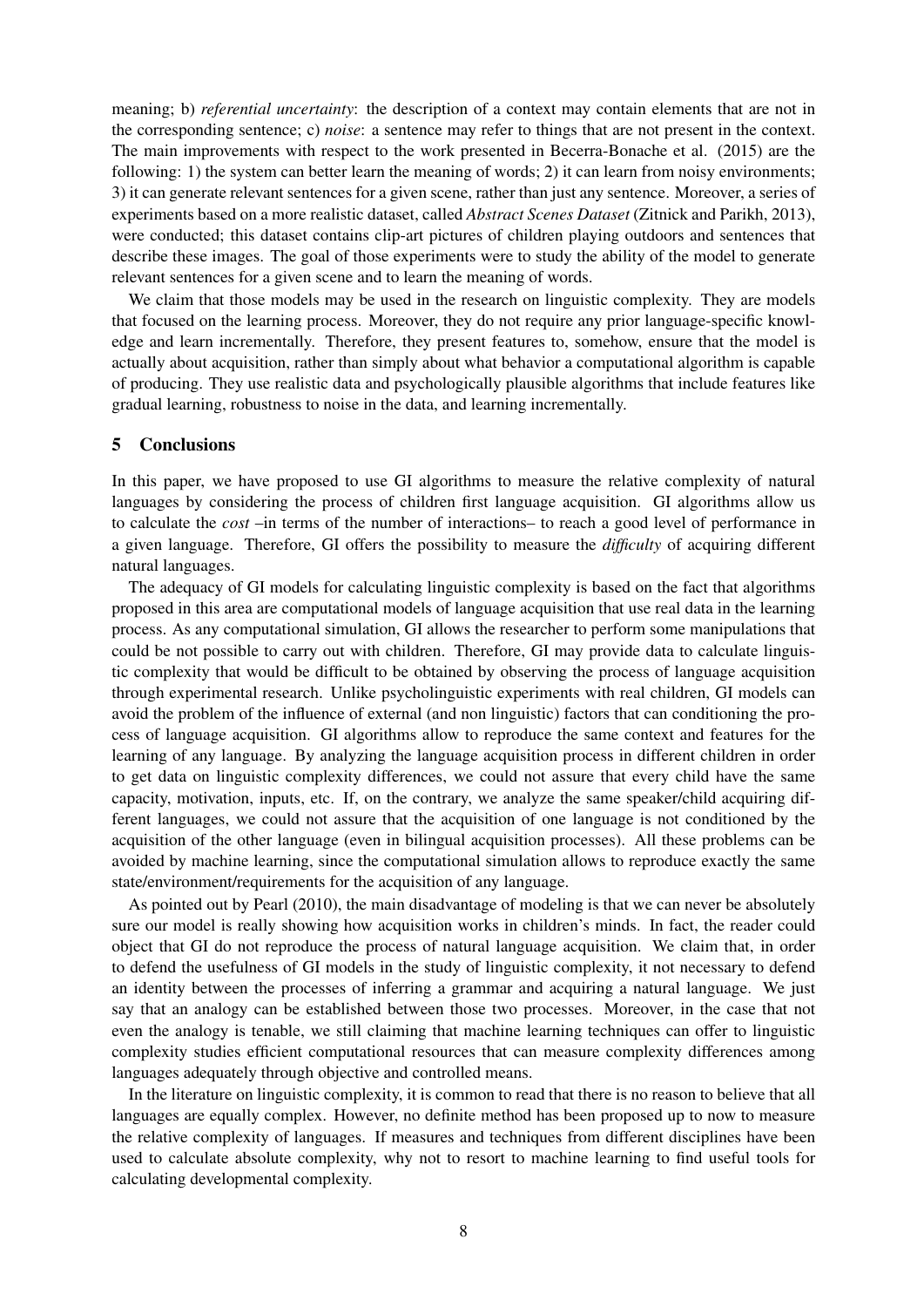meaning; b) *referential uncertainty*: the description of a context may contain elements that are not in the corresponding sentence; c) *noise*: a sentence may refer to things that are not present in the context. The main improvements with respect to the work presented in Becerra-Bonache et al. (2015) are the following: 1) the system can better learn the meaning of words; 2) it can learn from noisy environments; 3) it can generate relevant sentences for a given scene, rather than just any sentence. Moreover, a series of experiments based on a more realistic dataset, called *Abstract Scenes Dataset* (Zitnick and Parikh, 2013), were conducted; this dataset contains clip-art pictures of children playing outdoors and sentences that describe these images. The goal of those experiments were to study the ability of the model to generate relevant sentences for a given scene and to learn the meaning of words.

We claim that those models may be used in the research on linguistic complexity. They are models that focused on the learning process. Moreover, they do not require any prior language-specific knowledge and learn incrementally. Therefore, they present features to, somehow, ensure that the model is actually about acquisition, rather than simply about what behavior a computational algorithm is capable of producing. They use realistic data and psychologically plausible algorithms that include features like gradual learning, robustness to noise in the data, and learning incrementally.

## 5 Conclusions

In this paper, we have proposed to use GI algorithms to measure the relative complexity of natural languages by considering the process of children first language acquisition. GI algorithms allow us to calculate the *cost* –in terms of the number of interactions– to reach a good level of performance in a given language. Therefore, GI offers the possibility to measure the *difficulty* of acquiring different natural languages.

The adequacy of GI models for calculating linguistic complexity is based on the fact that algorithms proposed in this area are computational models of language acquisition that use real data in the learning process. As any computational simulation, GI allows the researcher to perform some manipulations that could be not possible to carry out with children. Therefore, GI may provide data to calculate linguistic complexity that would be difficult to be obtained by observing the process of language acquisition through experimental research. Unlike psycholinguistic experiments with real children, GI models can avoid the problem of the influence of external (and non linguistic) factors that can conditioning the process of language acquisition. GI algorithms allow to reproduce the same context and features for the learning of any language. By analyzing the language acquisition process in different children in order to get data on linguistic complexity differences, we could not assure that every child have the same capacity, motivation, inputs, etc. If, on the contrary, we analyze the same speaker/child acquiring different languages, we could not assure that the acquisition of one language is not conditioned by the acquisition of the other language (even in bilingual acquisition processes). All these problems can be avoided by machine learning, since the computational simulation allows to reproduce exactly the same state/environment/requirements for the acquisition of any language.

As pointed out by Pearl (2010), the main disadvantage of modeling is that we can never be absolutely sure our model is really showing how acquisition works in children's minds. In fact, the reader could object that GI do not reproduce the process of natural language acquisition. We claim that, in order to defend the usefulness of GI models in the study of linguistic complexity, it not necessary to defend an identity between the processes of inferring a grammar and acquiring a natural language. We just say that an analogy can be established between those two processes. Moreover, in the case that not even the analogy is tenable, we still claiming that machine learning techniques can offer to linguistic complexity studies efficient computational resources that can measure complexity differences among languages adequately through objective and controlled means.

In the literature on linguistic complexity, it is common to read that there is no reason to believe that all languages are equally complex. However, no definite method has been proposed up to now to measure the relative complexity of languages. If measures and techniques from different disciplines have been used to calculate absolute complexity, why not to resort to machine learning to find useful tools for calculating developmental complexity.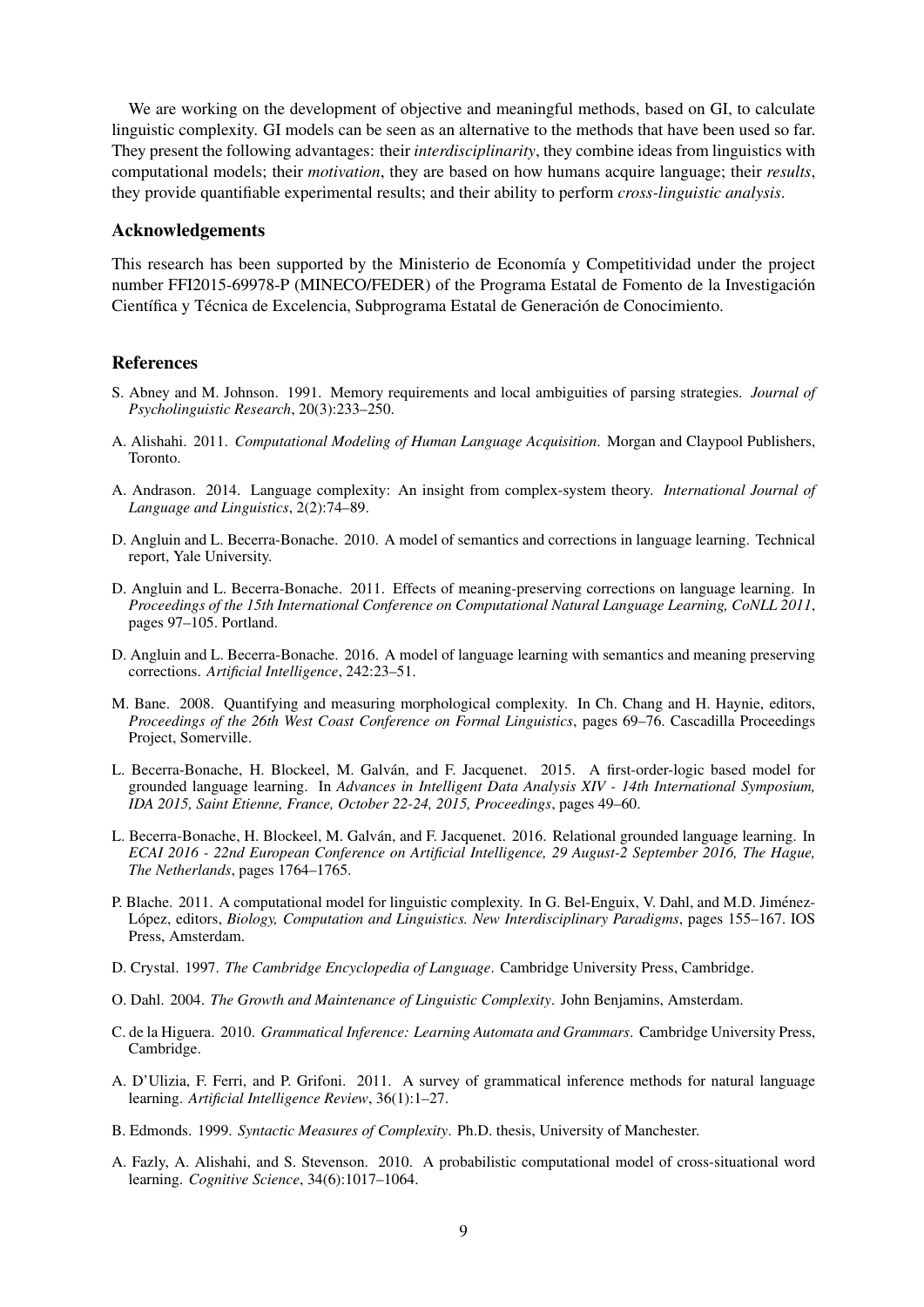We are working on the development of objective and meaningful methods, based on GI, to calculate linguistic complexity. GI models can be seen as an alternative to the methods that have been used so far. They present the following advantages: their *interdisciplinarity*, they combine ideas from linguistics with computational models; their *motivation*, they are based on how humans acquire language; their *results*, they provide quantifiable experimental results; and their ability to perform *cross-linguistic analysis*.

## Acknowledgements

This research has been supported by the Ministerio de Economía y Competitividad under the project number FFI2015-69978-P (MINECO/FEDER) of the Programa Estatal de Fomento de la Investigacion´ Científica y Técnica de Excelencia, Subprograma Estatal de Generación de Conocimiento.

## **References**

- S. Abney and M. Johnson. 1991. Memory requirements and local ambiguities of parsing strategies. *Journal of Psycholinguistic Research*, 20(3):233–250.
- A. Alishahi. 2011. *Computational Modeling of Human Language Acquisition*. Morgan and Claypool Publishers, Toronto.
- A. Andrason. 2014. Language complexity: An insight from complex-system theory. *International Journal of Language and Linguistics*, 2(2):74–89.
- D. Angluin and L. Becerra-Bonache. 2010. A model of semantics and corrections in language learning. Technical report, Yale University.
- D. Angluin and L. Becerra-Bonache. 2011. Effects of meaning-preserving corrections on language learning. In *Proceedings of the 15th International Conference on Computational Natural Language Learning, CoNLL 2011*, pages 97–105. Portland.
- D. Angluin and L. Becerra-Bonache. 2016. A model of language learning with semantics and meaning preserving corrections. *Artificial Intelligence*, 242:23–51.
- M. Bane. 2008. Quantifying and measuring morphological complexity. In Ch. Chang and H. Haynie, editors, *Proceedings of the 26th West Coast Conference on Formal Linguistics*, pages 69–76. Cascadilla Proceedings Project, Somerville.
- L. Becerra-Bonache, H. Blockeel, M. Galván, and F. Jacquenet. 2015. A first-order-logic based model for grounded language learning. In *Advances in Intelligent Data Analysis XIV - 14th International Symposium, IDA 2015, Saint Etienne, France, October 22-24, 2015, Proceedings*, pages 49–60.
- L. Becerra-Bonache, H. Blockeel, M. Galvan, and F. Jacquenet. 2016. Relational grounded language learning. In ´ *ECAI 2016 - 22nd European Conference on Artificial Intelligence, 29 August-2 September 2016, The Hague, The Netherlands*, pages 1764–1765.
- P. Blache. 2011. A computational model for linguistic complexity. In G. Bel-Enguix, V. Dahl, and M.D. Jiménez-López, editors, *Biology, Computation and Linguistics. New Interdisciplinary Paradigms*, pages 155–167. IOS Press, Amsterdam.
- D. Crystal. 1997. *The Cambridge Encyclopedia of Language*. Cambridge University Press, Cambridge.
- O. Dahl. 2004. *The Growth and Maintenance of Linguistic Complexity*. John Benjamins, Amsterdam.
- C. de la Higuera. 2010. *Grammatical Inference: Learning Automata and Grammars*. Cambridge University Press, Cambridge.
- A. D'Ulizia, F. Ferri, and P. Grifoni. 2011. A survey of grammatical inference methods for natural language learning. *Artificial Intelligence Review*, 36(1):1–27.
- B. Edmonds. 1999. *Syntactic Measures of Complexity*. Ph.D. thesis, University of Manchester.
- A. Fazly, A. Alishahi, and S. Stevenson. 2010. A probabilistic computational model of cross-situational word learning. *Cognitive Science*, 34(6):1017–1064.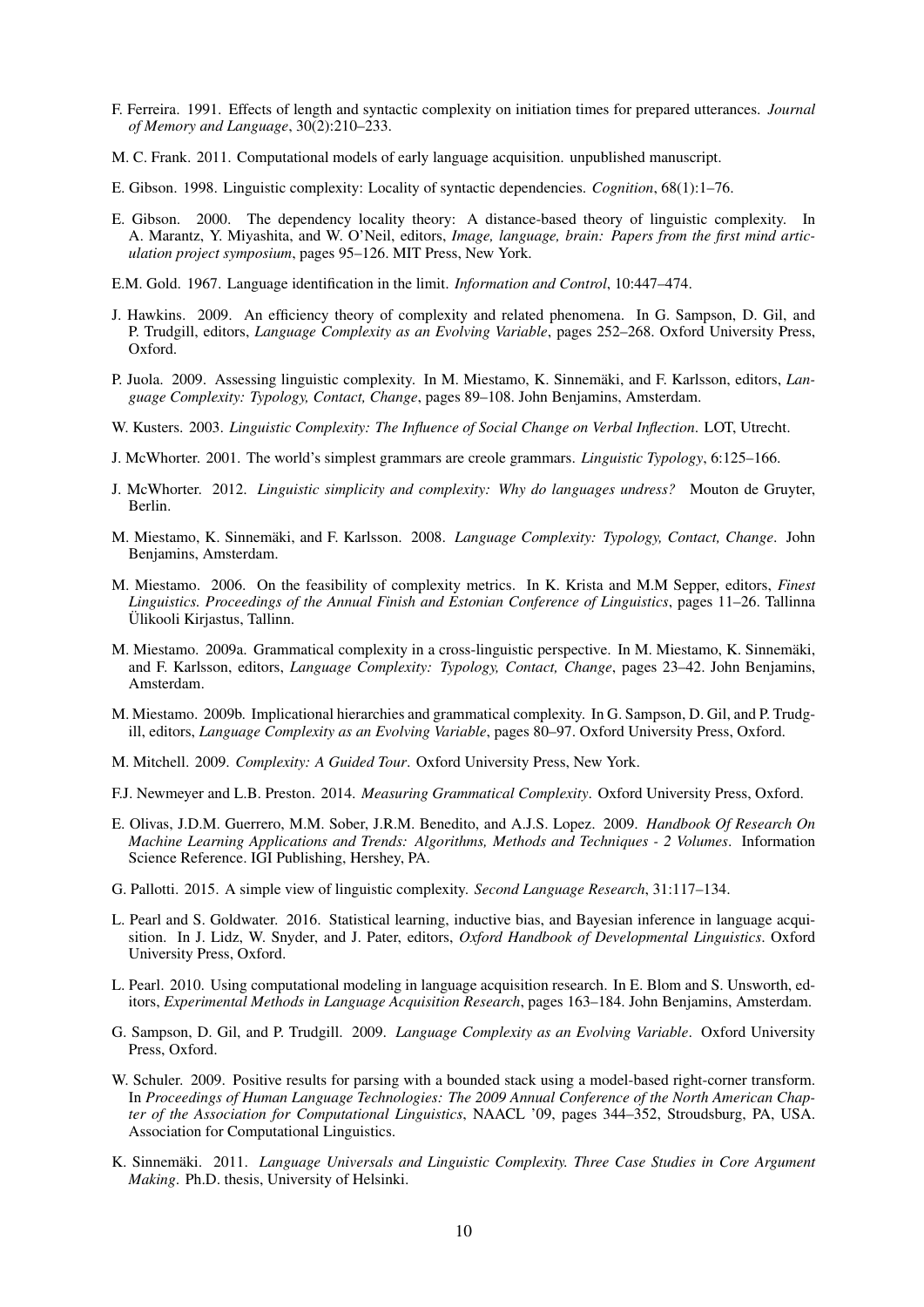- F. Ferreira. 1991. Effects of length and syntactic complexity on initiation times for prepared utterances. *Journal of Memory and Language*, 30(2):210–233.
- M. C. Frank. 2011. Computational models of early language acquisition. unpublished manuscript.
- E. Gibson. 1998. Linguistic complexity: Locality of syntactic dependencies. *Cognition*, 68(1):1–76.
- E. Gibson. 2000. The dependency locality theory: A distance-based theory of linguistic complexity. In A. Marantz, Y. Miyashita, and W. O'Neil, editors, *Image, language, brain: Papers from the first mind articulation project symposium*, pages 95–126. MIT Press, New York.
- E.M. Gold. 1967. Language identification in the limit. *Information and Control*, 10:447–474.
- J. Hawkins. 2009. An efficiency theory of complexity and related phenomena. In G. Sampson, D. Gil, and P. Trudgill, editors, *Language Complexity as an Evolving Variable*, pages 252–268. Oxford University Press, Oxford.
- P. Juola. 2009. Assessing linguistic complexity. In M. Miestamo, K. Sinnemäki, and F. Karlsson, editors, *Language Complexity: Typology, Contact, Change*, pages 89–108. John Benjamins, Amsterdam.
- W. Kusters. 2003. *Linguistic Complexity: The Influence of Social Change on Verbal Inflection*. LOT, Utrecht.
- J. McWhorter. 2001. The world's simplest grammars are creole grammars. *Linguistic Typology*, 6:125–166.
- J. McWhorter. 2012. *Linguistic simplicity and complexity: Why do languages undress?* Mouton de Gruyter, Berlin.
- M. Miestamo, K. Sinnemäki, and F. Karlsson. 2008. *Language Complexity: Typology, Contact, Change*. John Benjamins, Amsterdam.
- M. Miestamo. 2006. On the feasibility of complexity metrics. In K. Krista and M.M Sepper, editors, *Finest Linguistics. Proceedings of the Annual Finish and Estonian Conference of Linguistics*, pages 11–26. Tallinna Ülikooli Kirjastus, Tallinn.
- M. Miestamo. 2009a. Grammatical complexity in a cross-linguistic perspective. In M. Miestamo, K. Sinnemaki, ¨ and F. Karlsson, editors, *Language Complexity: Typology, Contact, Change*, pages 23–42. John Benjamins, Amsterdam.
- M. Miestamo. 2009b. Implicational hierarchies and grammatical complexity. In G. Sampson, D. Gil, and P. Trudgill, editors, *Language Complexity as an Evolving Variable*, pages 80–97. Oxford University Press, Oxford.
- M. Mitchell. 2009. *Complexity: A Guided Tour*. Oxford University Press, New York.
- F.J. Newmeyer and L.B. Preston. 2014. *Measuring Grammatical Complexity*. Oxford University Press, Oxford.
- E. Olivas, J.D.M. Guerrero, M.M. Sober, J.R.M. Benedito, and A.J.S. Lopez. 2009. *Handbook Of Research On Machine Learning Applications and Trends: Algorithms, Methods and Techniques - 2 Volumes*. Information Science Reference. IGI Publishing, Hershey, PA.
- G. Pallotti. 2015. A simple view of linguistic complexity. *Second Language Research*, 31:117–134.
- L. Pearl and S. Goldwater. 2016. Statistical learning, inductive bias, and Bayesian inference in language acquisition. In J. Lidz, W. Snyder, and J. Pater, editors, *Oxford Handbook of Developmental Linguistics*. Oxford University Press, Oxford.
- L. Pearl. 2010. Using computational modeling in language acquisition research. In E. Blom and S. Unsworth, editors, *Experimental Methods in Language Acquisition Research*, pages 163–184. John Benjamins, Amsterdam.
- G. Sampson, D. Gil, and P. Trudgill. 2009. *Language Complexity as an Evolving Variable*. Oxford University Press, Oxford.
- W. Schuler. 2009. Positive results for parsing with a bounded stack using a model-based right-corner transform. In *Proceedings of Human Language Technologies: The 2009 Annual Conference of the North American Chapter of the Association for Computational Linguistics*, NAACL '09, pages 344–352, Stroudsburg, PA, USA. Association for Computational Linguistics.
- K. Sinnemäki. 2011. *Language Universals and Linguistic Complexity. Three Case Studies in Core Argument Making*. Ph.D. thesis, University of Helsinki.